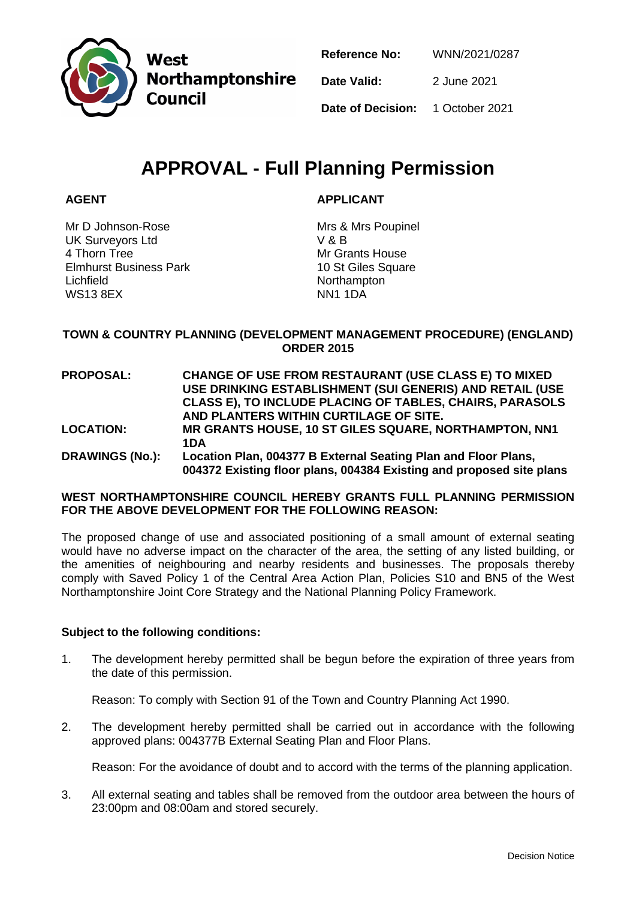

West **Northamptonshire Council** 

| <b>Reference No:</b>                    | WNN/2021/0287 |
|-----------------------------------------|---------------|
| Date Valid:                             | 2 June 2021   |
| <b>Date of Decision:</b> 1 October 2021 |               |

# **APPROVAL - Full Planning Permission**

# **AGENT**

**APPLICANT**

Mr D Johnson-Rose UK Surveyors Ltd 4 Thorn Tree Elmhurst Business Park Lichfield WS13 8EX

Mrs & Mrs Poupinel V & B Mr Grants House 10 St Giles Square Northampton NN1 1DA

# **TOWN & COUNTRY PLANNING (DEVELOPMENT MANAGEMENT PROCEDURE) (ENGLAND) ORDER 2015**

**PROPOSAL: CHANGE OF USE FROM RESTAURANT (USE CLASS E) TO MIXED USE DRINKING ESTABLISHMENT (SUI GENERIS) AND RETAIL (USE CLASS E), TO INCLUDE PLACING OF TABLES, CHAIRS, PARASOLS AND PLANTERS WITHIN CURTILAGE OF SITE. LOCATION: MR GRANTS HOUSE, 10 ST GILES SQUARE, NORTHAMPTON, NN1 1DA DRAWINGS (No.): Location Plan, 004377 B External Seating Plan and Floor Plans, 004372 Existing floor plans, 004384 Existing and proposed site plans**

### **WEST NORTHAMPTONSHIRE COUNCIL HEREBY GRANTS FULL PLANNING PERMISSION FOR THE ABOVE DEVELOPMENT FOR THE FOLLOWING REASON:**

The proposed change of use and associated positioning of a small amount of external seating would have no adverse impact on the character of the area, the setting of any listed building, or the amenities of neighbouring and nearby residents and businesses. The proposals thereby comply with Saved Policy 1 of the Central Area Action Plan, Policies S10 and BN5 of the West Northamptonshire Joint Core Strategy and the National Planning Policy Framework.

# **Subject to the following conditions:**

1. The development hereby permitted shall be begun before the expiration of three years from the date of this permission.

Reason: To comply with Section 91 of the Town and Country Planning Act 1990.

2. The development hereby permitted shall be carried out in accordance with the following approved plans: 004377B External Seating Plan and Floor Plans.

Reason: For the avoidance of doubt and to accord with the terms of the planning application.

3. All external seating and tables shall be removed from the outdoor area between the hours of 23:00pm and 08:00am and stored securely.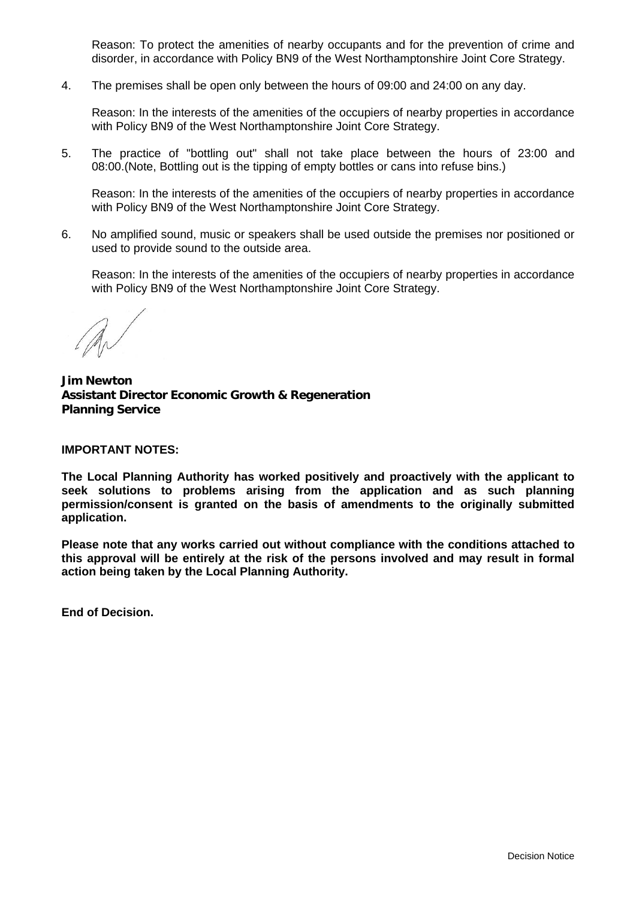Reason: To protect the amenities of nearby occupants and for the prevention of crime and disorder, in accordance with Policy BN9 of the West Northamptonshire Joint Core Strategy.

4. The premises shall be open only between the hours of 09:00 and 24:00 on any day.

Reason: In the interests of the amenities of the occupiers of nearby properties in accordance with Policy BN9 of the West Northamptonshire Joint Core Strategy.

5. The practice of "bottling out" shall not take place between the hours of 23:00 and 08:00.(Note, Bottling out is the tipping of empty bottles or cans into refuse bins.)

Reason: In the interests of the amenities of the occupiers of nearby properties in accordance with Policy BN9 of the West Northamptonshire Joint Core Strategy.

6. No amplified sound, music or speakers shall be used outside the premises nor positioned or used to provide sound to the outside area.

Reason: In the interests of the amenities of the occupiers of nearby properties in accordance with Policy BN9 of the West Northamptonshire Joint Core Strategy.

**Jim Newton Assistant Director Economic Growth & Regeneration Planning Service**

#### **IMPORTANT NOTES:**

**The Local Planning Authority has worked positively and proactively with the applicant to seek solutions to problems arising from the application and as such planning permission/consent is granted on the basis of amendments to the originally submitted application.**

**Please note that any works carried out without compliance with the conditions attached to this approval will be entirely at the risk of the persons involved and may result in formal action being taken by the Local Planning Authority.**

**End of Decision.**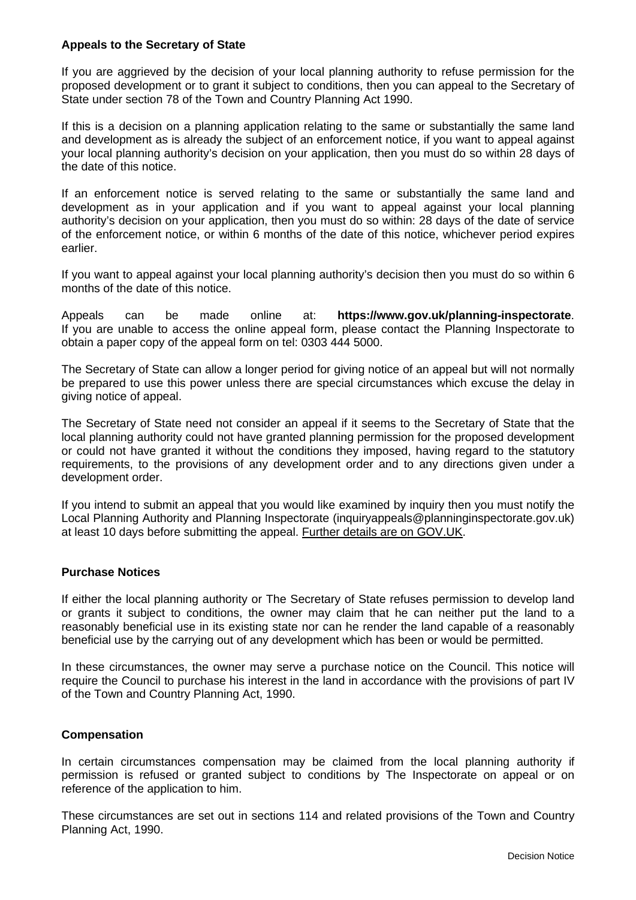#### **Appeals to the Secretary of State**

If you are aggrieved by the decision of your local planning authority to refuse permission for the proposed development or to grant it subject to conditions, then you can appeal to the Secretary of State under section 78 of the Town and Country Planning Act 1990.

If this is a decision on a planning application relating to the same or substantially the same land and development as is already the subject of an enforcement notice, if you want to appeal against your local planning authority's decision on your application, then you must do so within 28 days of the date of this notice.

If an enforcement notice is served relating to the same or substantially the same land and development as in your application and if you want to appeal against your local planning authority's decision on your application, then you must do so within: 28 days of the date of service of the enforcement notice, or within 6 months of the date of this notice, whichever period expires earlier.

If you want to appeal against your local planning authority's decision then you must do so within 6 months of the date of this notice.

Appeals can be made online at: **https://www.gov.uk/planning-inspectorate**. If you are unable to access the online appeal form, please contact the Planning Inspectorate to obtain a paper copy of the appeal form on tel: 0303 444 5000.

The Secretary of State can allow a longer period for giving notice of an appeal but will not normally be prepared to use this power unless there are special circumstances which excuse the delay in giving notice of appeal.

The Secretary of State need not consider an appeal if it seems to the Secretary of State that the local planning authority could not have granted planning permission for the proposed development or could not have granted it without the conditions they imposed, having regard to the statutory requirements, to the provisions of any development order and to any directions given under a development order.

If you intend to submit an appeal that you would like examined by inquiry then you must notify the Local Planning Authority and Planning Inspectorate (inquiryappeals@planninginspectorate.gov.uk) at least 10 days before submitting the appeal. Further details are on GOV.UK.

# **Purchase Notices**

If either the local planning authority or The Secretary of State refuses permission to develop land or grants it subject to conditions, the owner may claim that he can neither put the land to a reasonably beneficial use in its existing state nor can he render the land capable of a reasonably beneficial use by the carrying out of any development which has been or would be permitted.

In these circumstances, the owner may serve a purchase notice on the Council. This notice will require the Council to purchase his interest in the land in accordance with the provisions of part IV of the Town and Country Planning Act, 1990.

# **Compensation**

In certain circumstances compensation may be claimed from the local planning authority if permission is refused or granted subject to conditions by The Inspectorate on appeal or on reference of the application to him.

These circumstances are set out in sections 114 and related provisions of the Town and Country Planning Act, 1990.